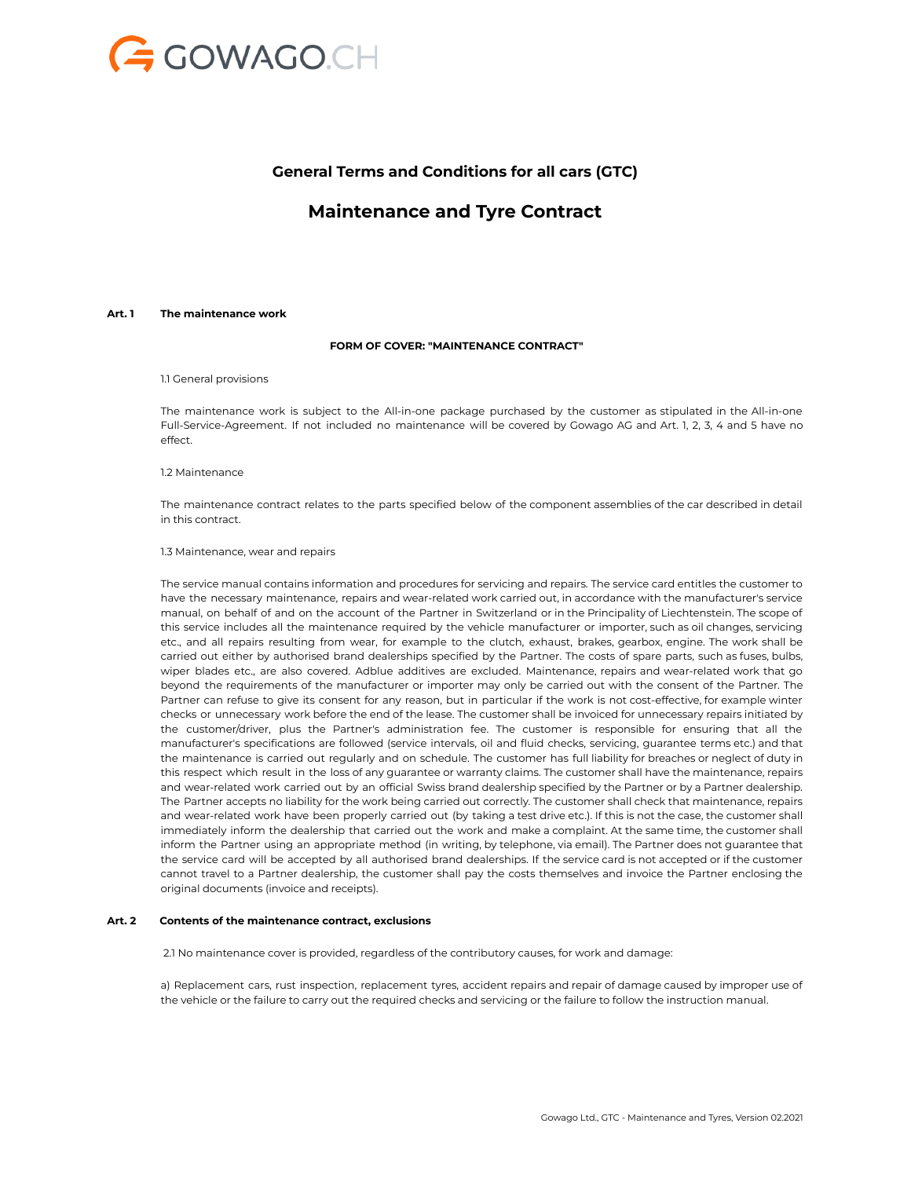

## **General Terms and Conditions for all cars (GTC)**

# **Maintenance and Tyre Contract**

## **Art. 1 The maintenance work**

## **FORM OF COVER: "MAINTENANCE CONTRACT"**

#### 1.1 General provisions

The maintenance work is subject to the All-in-one package purchased by the customer as stipulated in the All-in-one Full-Service-Agreement. If not included no maintenance will be covered by Gowago AG and Art. 1, 2, 3, 4 and 5 have no effect.

## 1.2 Maintenance

The maintenance contract relates to the parts specified below of the component assemblies of the car described in detail in this contract.

#### 1.3 Maintenance, wear and repairs

The service manual contains information and procedures for servicing and repairs. The service card entitles the customer to have the necessary maintenance, repairs and wear-related work carried out, in accordance with the manufacturer's service manual, on behalf of and on the account of the Partner in Switzerland or in the Principality of Liechtenstein. The scope of this service includes all the maintenance required by the vehicle manufacturer or importer, such as oil changes, servicing etc., and all repairs resulting from wear, for example to the clutch, exhaust, brakes, gearbox, engine. The work shall be carried out either by authorised brand dealerships specified by the Partner. The costs of spare parts, such as fuses, bulbs, wiper blades etc., are also covered. Adblue additives are excluded. Maintenance, repairs and wear-related work that go beyond the requirements of the manufacturer or importer may only be carried out with the consent of the Partner. The Partner can refuse to give its consent for any reason, but in particular if the work is not cost-effective, for example winter checks or unnecessary work before the end of the lease. The customer shall be invoiced for unnecessary repairs initiated by the customer/driver, plus the Partner's administration fee. The customer is responsible for ensuring that all the manufacturer's specifications are followed (service intervals, oil and fluid checks, servicing, guarantee terms etc.) and that the maintenance is carried out regularly and on schedule. The customer has full liability for breaches or neglect of duty in this respect which result in the loss of any guarantee or warranty claims. The customer shall have the maintenance, repairs and wear-related work carried out by an official Swiss brand dealership specified by the Partner or by a Partner dealership. The Partner accepts no liability for the work being carried out correctly. The customer shall check that maintenance, repairs and wear-related work have been properly carried out (by taking a test drive etc.). If this is not the case, the customer shall immediately inform the dealership that carried out the work and make a complaint. At the same time, the customer shall inform the Partner using an appropriate method (in writing, by telephone, via email). The Partner does not guarantee that the service card will be accepted by all authorised brand dealerships. If the service card is not accepted or if the customer cannot travel to a Partner dealership, the customer shall pay the costs themselves and invoice the Partner enclosing the original documents (invoice and receipts).

#### **Art. 2 Contents of the maintenance contract, exclusions**

2.1 No maintenance cover is provided, regardless of the contributory causes, for work and damage:

a) Replacement cars, rust inspection, replacement tyres, accident repairs and repair of damage caused by improper use of the vehicle or the failure to carry out the required checks and servicing or the failure to follow the instruction manual.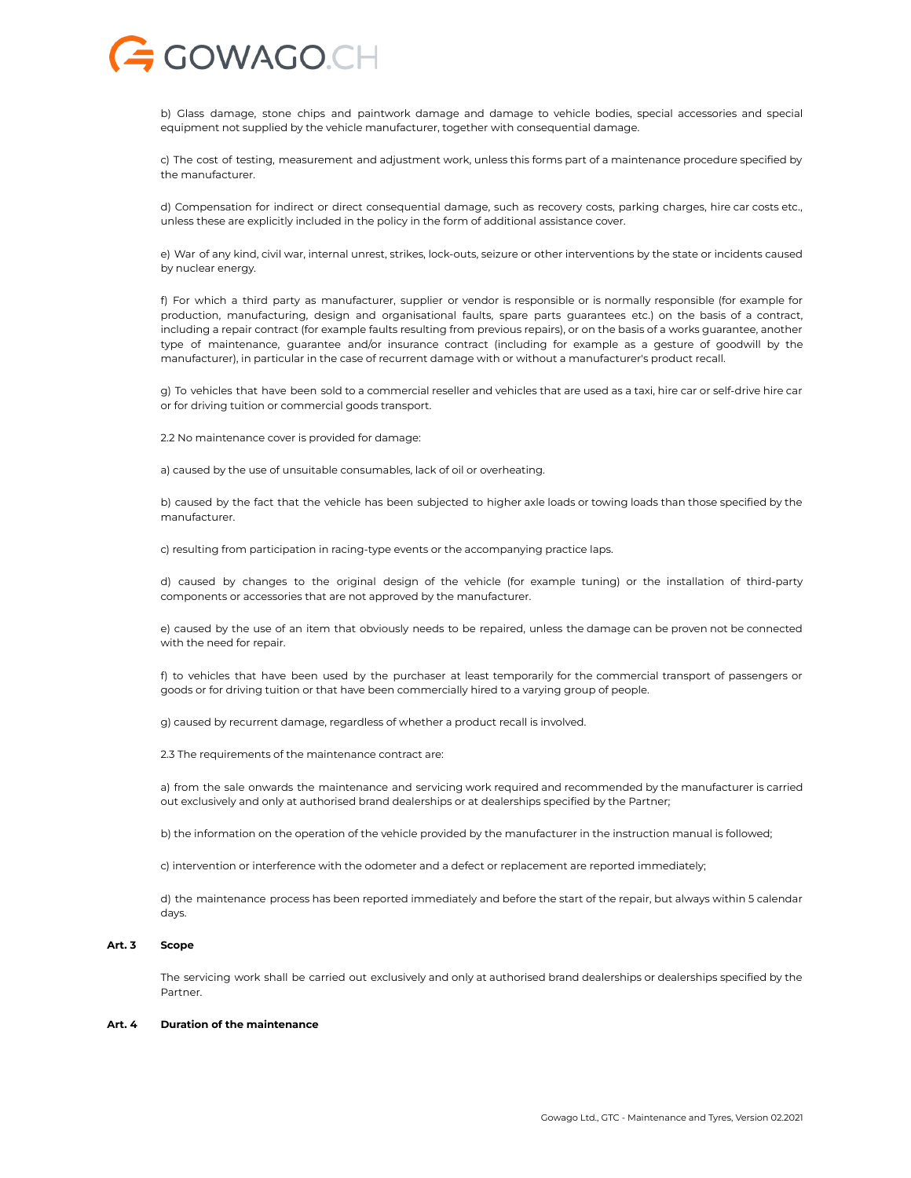

b) Glass damage, stone chips and paintwork damage and damage to vehicle bodies, special accessories and special equipment not supplied by the vehicle manufacturer, together with consequential damage.

c) The cost of testing, measurement and adjustment work, unless this forms part of a maintenance procedure specified by the manufacturer.

d) Compensation for indirect or direct consequential damage, such as recovery costs, parking charges, hire car costs etc., unless these are explicitly included in the policy in the form of additional assistance cover.

e) War of any kind, civil war, internal unrest, strikes, lock-outs, seizure or other interventions by the state or incidents caused by nuclear energy.

f) For which a third party as manufacturer, supplier or vendor is responsible or is normally responsible (for example for production, manufacturing, design and organisational faults, spare parts guarantees etc.) on the basis of a contract, including a repair contract (for example faults resulting from previous repairs), or on the basis of a works guarantee, another type of maintenance, guarantee and/or insurance contract (including for example as a gesture of goodwill by the manufacturer), in particular in the case of recurrent damage with or without a manufacturer's product recall.

g) To vehicles that have been sold to a commercial reseller and vehicles that are used as a taxi, hire car or self-drive hire car or for driving tuition or commercial goods transport.

2.2 No maintenance cover is provided for damage:

a) caused by the use of unsuitable consumables, lack of oil or overheating.

b) caused by the fact that the vehicle has been subjected to higher axle loads or towing loads than those specified by the manufacturer.

c) resulting from participation in racing-type events or the accompanying practice laps.

d) caused by changes to the original design of the vehicle (for example tuning) or the installation of third-party components or accessories that are not approved by the manufacturer.

e) caused by the use of an item that obviously needs to be repaired, unless the damage can be proven not be connected with the need for repair.

f) to vehicles that have been used by the purchaser at least temporarily for the commercial transport of passengers or goods or for driving tuition or that have been commercially hired to a varying group of people.

g) caused by recurrent damage, regardless of whether a product recall is involved.

2.3 The requirements of the maintenance contract are:

a) from the sale onwards the maintenance and servicing work required and recommended by the manufacturer is carried out exclusively and only at authorised brand dealerships or at dealerships specified by the Partner;

b) the information on the operation of the vehicle provided by the manufacturer in the instruction manual is followed;

c) intervention or interference with the odometer and a defect or replacement are reported immediately;

d) the maintenance process has been reported immediately and before the start of the repair, but always within 5 calendar days.

#### **Art. 3 Scope**

The servicing work shall be carried out exclusively and only at authorised brand dealerships or dealerships specified by the Partner.

## **Art. 4 Duration of the maintenance**